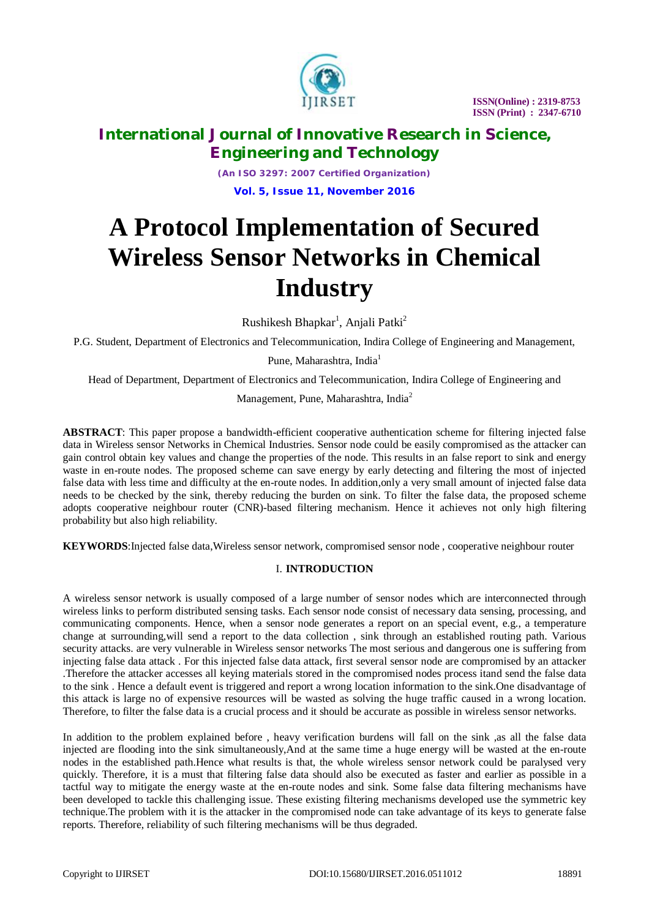

# **International Journal of Innovative Research in Science, Engineering and Technology**

*(An ISO 3297: 2007 Certified Organization)* **Vol. 5, Issue 11, November 2016**

# **A Protocol Implementation of Secured Wireless Sensor Networks in Chemical Industry**

Rushikesh Bhapkar $^{\rm l}$ , Anjali Patki $^{\rm 2}$ 

P.G. Student, Department of Electronics and Telecommunication, Indira College of Engineering and Management,

Pune, Maharashtra, India<sup>1</sup>

Head of Department, Department of Electronics and Telecommunication, Indira College of Engineering and

Management, Pune, Maharashtra, India<sup>2</sup>

**ABSTRACT**: This paper propose a bandwidth-efficient cooperative authentication scheme for filtering injected false data in Wireless sensor Networks in Chemical Industries. Sensor node could be easily compromised as the attacker can gain control obtain key values and change the properties of the node. This results in an false report to sink and energy waste in en-route nodes. The proposed scheme can save energy by early detecting and filtering the most of injected false data with less time and difficulty at the en-route nodes. In addition,only a very small amount of injected false data needs to be checked by the sink, thereby reducing the burden on sink. To filter the false data, the proposed scheme adopts cooperative neighbour router (CNR)-based filtering mechanism. Hence it achieves not only high filtering probability but also high reliability.

**KEYWORDS**:Injected false data,Wireless sensor network, compromised sensor node , cooperative neighbour router

### I. **INTRODUCTION**

A wireless sensor network is usually composed of a large number of sensor nodes which are interconnected through wireless links to perform distributed sensing tasks. Each sensor node consist of necessary data sensing, processing, and communicating components. Hence, when a sensor node generates a report on an special event, e.g., a temperature change at surrounding,will send a report to the data collection , sink through an established routing path. Various security attacks. are very vulnerable in Wireless sensor networks The most serious and dangerous one is suffering from injecting false data attack . For this injected false data attack, first several sensor node are compromised by an attacker .Therefore the attacker accesses all keying materials stored in the compromised nodes process itand send the false data to the sink . Hence a default event is triggered and report a wrong location information to the sink.One disadvantage of this attack is large no of expensive resources will be wasted as solving the huge traffic caused in a wrong location. Therefore, to filter the false data is a crucial process and it should be accurate as possible in wireless sensor networks.

In addition to the problem explained before , heavy verification burdens will fall on the sink ,as all the false data injected are flooding into the sink simultaneously,And at the same time a huge energy will be wasted at the en-route nodes in the established path.Hence what results is that, the whole wireless sensor network could be paralysed very quickly. Therefore, it is a must that filtering false data should also be executed as faster and earlier as possible in a tactful way to mitigate the energy waste at the en-route nodes and sink. Some false data filtering mechanisms have been developed to tackle this challenging issue. These existing filtering mechanisms developed use the symmetric key technique.The problem with it is the attacker in the compromised node can take advantage of its keys to generate false reports. Therefore, reliability of such filtering mechanisms will be thus degraded.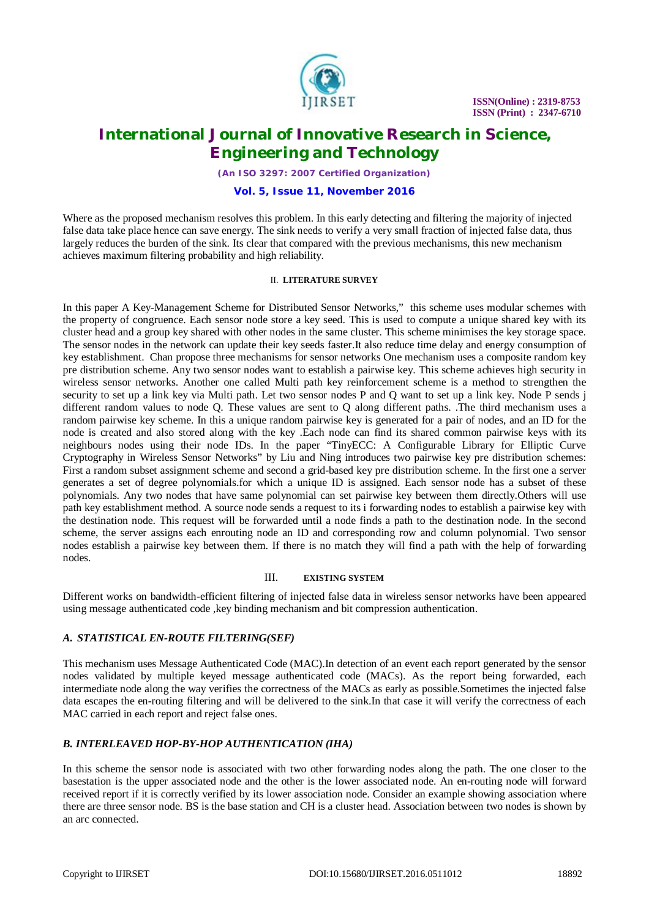

### **International Journal of Innovative Research in Science, Engineering and Technology**

*(An ISO 3297: 2007 Certified Organization)*

#### **Vol. 5, Issue 11, November 2016**

Where as the proposed mechanism resolves this problem. In this early detecting and filtering the majority of injected false data take place hence can save energy. The sink needs to verify a very small fraction of injected false data, thus largely reduces the burden of the sink. Its clear that compared with the previous mechanisms, this new mechanism achieves maximum filtering probability and high reliability.

#### II. **LITERATURE SURVEY**

In this paper A Key-Management Scheme for Distributed Sensor Networks," this scheme uses modular schemes with the property of congruence. Each sensor node store a key seed. This is used to compute a unique shared key with its cluster head and a group key shared with other nodes in the same cluster. This scheme minimises the key storage space. The sensor nodes in the network can update their key seeds faster.It also reduce time delay and energy consumption of key establishment. Chan propose three mechanisms for sensor networks One mechanism uses a composite random key pre distribution scheme. Any two sensor nodes want to establish a pairwise key. This scheme achieves high security in wireless sensor networks. Another one called Multi path key reinforcement scheme is a method to strengthen the security to set up a link key via Multi path. Let two sensor nodes P and Q want to set up a link key. Node P sends j different random values to node Q. These values are sent to Q along different paths. .The third mechanism uses a random pairwise key scheme. In this a unique random pairwise key is generated for a pair of nodes, and an ID for the node is created and also stored along with the key .Each node can find its shared common pairwise keys with its neighbours nodes using their node IDs. In the paper "TinyECC: A Configurable Library for Elliptic Curve Cryptography in Wireless Sensor Networks" by Liu and Ning introduces two pairwise key pre distribution schemes: First a random subset assignment scheme and second a grid-based key pre distribution scheme. In the first one a server generates a set of degree polynomials.for which a unique ID is assigned. Each sensor node has a subset of these polynomials. Any two nodes that have same polynomial can set pairwise key between them directly.Others will use path key establishment method. A source node sends a request to its i forwarding nodes to establish a pairwise key with the destination node. This request will be forwarded until a node finds a path to the destination node. In the second scheme, the server assigns each enrouting node an ID and corresponding row and column polynomial. Two sensor nodes establish a pairwise key between them. If there is no match they will find a path with the help of forwarding nodes.

#### III. **EXISTING SYSTEM**

Different works on bandwidth-efficient filtering of injected false data in wireless sensor networks have been appeared using message authenticated code ,key binding mechanism and bit compression authentication.

### *A. STATISTICAL EN-ROUTE FILTERING(SEF)*

This mechanism uses Message Authenticated Code (MAC).In detection of an event each report generated by the sensor nodes validated by multiple keyed message authenticated code (MACs). As the report being forwarded, each intermediate node along the way verifies the correctness of the MACs as early as possible.Sometimes the injected false data escapes the en-routing filtering and will be delivered to the sink.In that case it will verify the correctness of each MAC carried in each report and reject false ones.

### *B. INTERLEAVED HOP-BY-HOP AUTHENTICATION (IHA)*

In this scheme the sensor node is associated with two other forwarding nodes along the path. The one closer to the basestation is the upper associated node and the other is the lower associated node. An en-routing node will forward received report if it is correctly verified by its lower association node. Consider an example showing association where there are three sensor node. BS is the base station and CH is a cluster head. Association between two nodes is shown by an arc connected.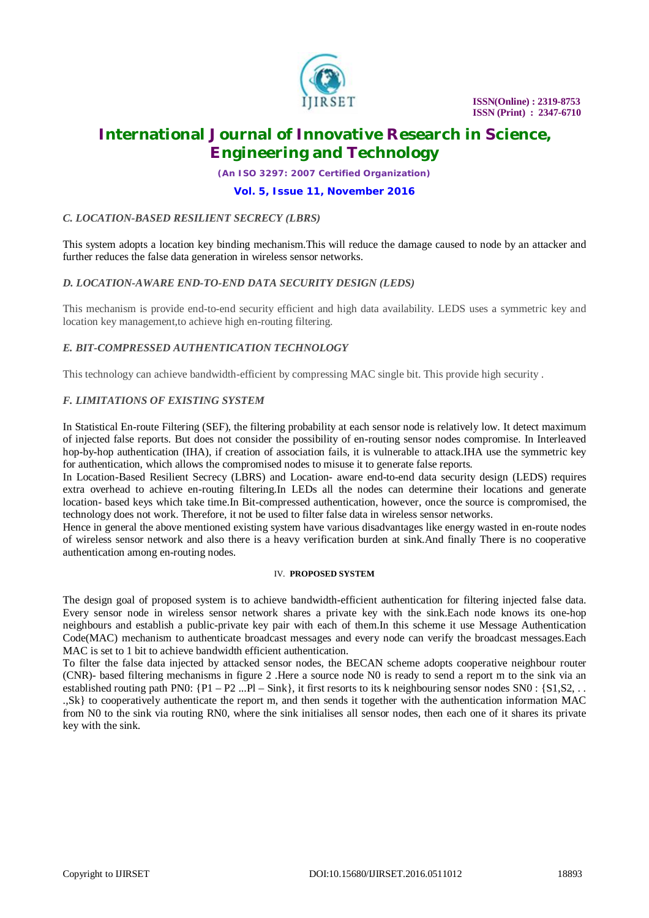

### **International Journal of Innovative Research in Science, Engineering and Technology**

*(An ISO 3297: 2007 Certified Organization)*

#### **Vol. 5, Issue 11, November 2016**

#### *C. LOCATION-BASED RESILIENT SECRECY (LBRS)*

This system adopts a location key binding mechanism.This will reduce the damage caused to node by an attacker and further reduces the false data generation in wireless sensor networks.

#### *D. LOCATION-AWARE END-TO-END DATA SECURITY DESIGN (LEDS)*

This mechanism is provide end-to-end security efficient and high data availability. LEDS uses a symmetric key and location key management,to achieve high en-routing filtering.

#### *E. BIT-COMPRESSED AUTHENTICATION TECHNOLOGY*

This technology can achieve bandwidth-efficient by compressing MAC single bit. This provide high security .

#### *F. LIMITATIONS OF EXISTING SYSTEM*

In Statistical En-route Filtering (SEF), the filtering probability at each sensor node is relatively low. It detect maximum of injected false reports. But does not consider the possibility of en-routing sensor nodes compromise. In Interleaved hop-by-hop authentication (IHA), if creation of association fails, it is vulnerable to attack.IHA use the symmetric key for authentication, which allows the compromised nodes to misuse it to generate false reports.

In Location-Based Resilient Secrecy (LBRS) and Location- aware end-to-end data security design (LEDS) requires extra overhead to achieve en-routing filtering.In LEDs all the nodes can determine their locations and generate location- based keys which take time.In Bit-compressed authentication, however, once the source is compromised, the technology does not work. Therefore, it not be used to filter false data in wireless sensor networks.

Hence in general the above mentioned existing system have various disadvantages like energy wasted in en-route nodes of wireless sensor network and also there is a heavy verification burden at sink.And finally There is no cooperative authentication among en-routing nodes.

#### IV. **PROPOSED SYSTEM**

The design goal of proposed system is to achieve bandwidth-efficient authentication for filtering injected false data. Every sensor node in wireless sensor network shares a private key with the sink.Each node knows its one-hop neighbours and establish a public-private key pair with each of them.In this scheme it use Message Authentication Code(MAC) mechanism to authenticate broadcast messages and every node can verify the broadcast messages.Each MAC is set to 1 bit to achieve bandwidth efficient authentication.

To filter the false data injected by attacked sensor nodes, the BECAN scheme adopts cooperative neighbour router (CNR)- based filtering mechanisms in figure 2 .Here a source node N0 is ready to send a report m to the sink via an established routing path PN0:  $\{P1 - P2 \dots P1 - \text{Sink}\}\$ , it first resorts to its k neighbouring sensor nodes SN0 :  $\{S1, S2, \dots\}$ .,Sk} to cooperatively authenticate the report m, and then sends it together with the authentication information MAC from N0 to the sink via routing RN0, where the sink initialises all sensor nodes, then each one of it shares its private key with the sink.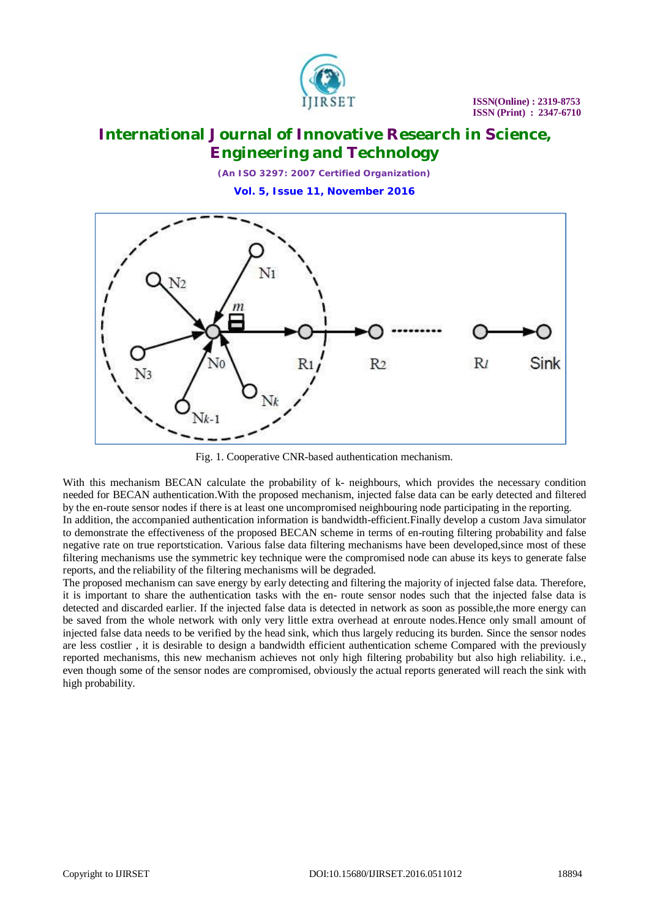

## **International Journal of Innovative Research in Science, Engineering and Technology**

*(An ISO 3297: 2007 Certified Organization)* **Vol. 5, Issue 11, November 2016**



Fig. 1. Cooperative CNR-based authentication mechanism.

With this mechanism BECAN calculate the probability of k- neighbours, which provides the necessary condition needed for BECAN authentication.With the proposed mechanism, injected false data can be early detected and filtered by the en-route sensor nodes if there is at least one uncompromised neighbouring node participating in the reporting.

In addition, the accompanied authentication information is bandwidth-efficient.Finally develop a custom Java simulator to demonstrate the effectiveness of the proposed BECAN scheme in terms of en-routing filtering probability and false negative rate on true reportstication. Various false data filtering mechanisms have been developed,since most of these filtering mechanisms use the symmetric key technique were the compromised node can abuse its keys to generate false reports, and the reliability of the filtering mechanisms will be degraded.

The proposed mechanism can save energy by early detecting and filtering the majority of injected false data. Therefore, it is important to share the authentication tasks with the en- route sensor nodes such that the injected false data is detected and discarded earlier. If the injected false data is detected in network as soon as possible,the more energy can be saved from the whole network with only very little extra overhead at enroute nodes.Hence only small amount of injected false data needs to be verified by the head sink, which thus largely reducing its burden. Since the sensor nodes are less costlier , it is desirable to design a bandwidth efficient authentication scheme Compared with the previously reported mechanisms, this new mechanism achieves not only high filtering probability but also high reliability. i.e., even though some of the sensor nodes are compromised, obviously the actual reports generated will reach the sink with high probability.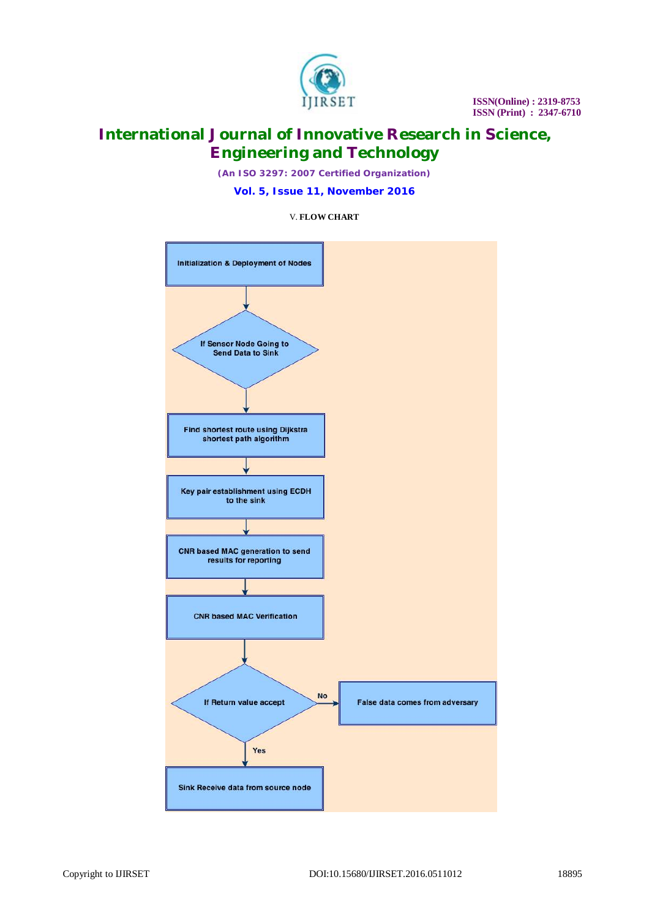

# **International Journal of Innovative Research in Science, Engineering and Technology**

*(An ISO 3297: 2007 Certified Organization)* **Vol. 5, Issue 11, November 2016**

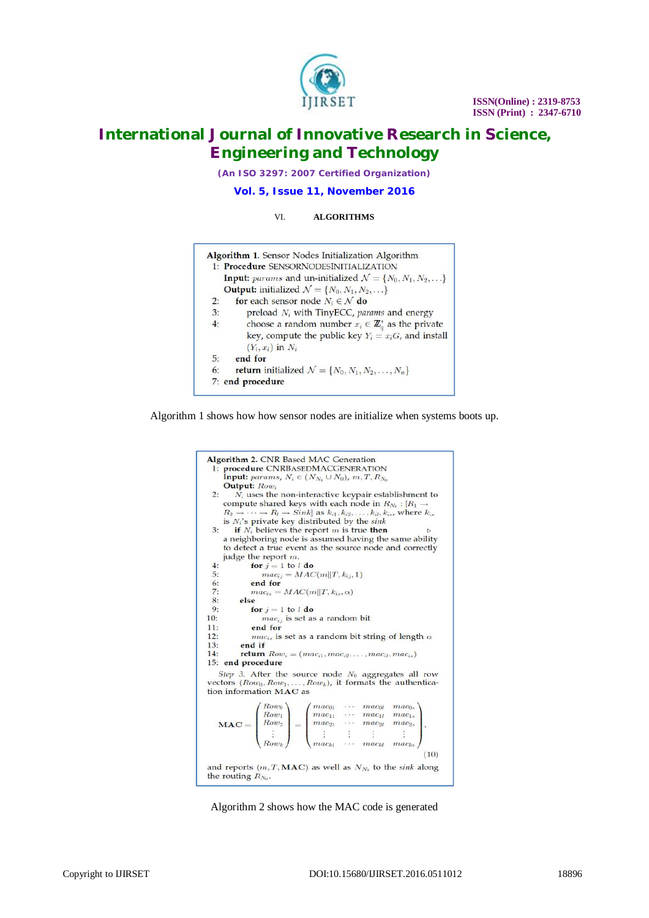

## **International Journal of Innovative Research in Science, Engineering and Technology**

*(An ISO 3297: 2007 Certified Organization)*

#### **Vol. 5, Issue 11, November 2016**

#### VI. **ALGORITHMS**

|    | <b>Algorithm 1.</b> Sensor Nodes Initialization Algorithm                         |
|----|-----------------------------------------------------------------------------------|
|    | 1: Procedure SENSORNODESINITIALIZATION                                            |
|    | <b>Input:</b> params and un-initialized $\mathcal{N} = \{N_0, N_1, N_2, \ldots\}$ |
|    | <b>Output:</b> initialized $\mathcal{N} = \{N_0, N_1, N_2, \ldots\}$              |
| 2: | for each sensor node $N_i \in \mathcal{N}$ do                                     |
| 3: | preload $N_i$ with TinyECC, params and energy                                     |
| 4: | choose a random number $x_i \in \mathbb{Z}_q^*$ as the private                    |
|    | key, compute the public key $Y_i = x_i G$ , and install                           |
|    | $(Y_i, x_i)$ in $N_i$                                                             |
| 5: | end for                                                                           |
| 6: | <b>return</b> initialized $\mathcal{N} = \{N_0, N_1, N_2, \ldots, N_n\}$          |
|    | 7: end procedure                                                                  |

Algorithm 1 shows how how sensor nodes are initialize when systems boots up.



Algorithm 2 shows how the MAC code is generated